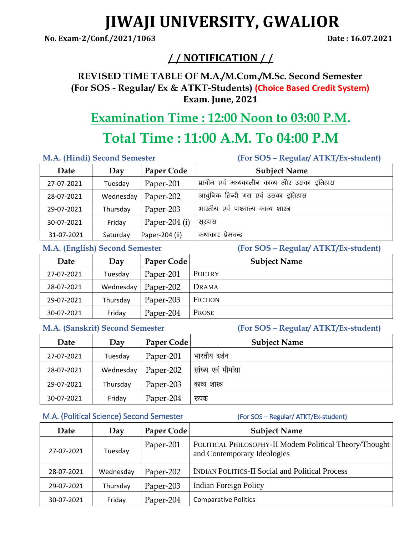# **JIWAJI UNIVERSITY, GWALIOR**

**No. Exam-2/Conf./2021/1063 Date : 16.07.2021**

# **/ / NOTIFICATION / /**

**REVISED TIME TABLE OF M.A./M.Com./M.Sc. Second Semester (For SOS - Regular/ Ex & ATKT-Students) (Choice Based Credit System) Exam. June, 2021**

# **Examination Time : 12:00 Noon to 03:00 P.M.**

# **Total Time : 11:00 A.M. To 04:00 P.M**

**M.A. (Hindi) Second Semester (For SOS – Regular/ ATKT/Ex-student)** 

| Date       | Day       | Paper Code      | <b>Subject Name</b>                        |
|------------|-----------|-----------------|--------------------------------------------|
| 27-07-2021 | Tuesday   | Paper-201       | प्राचीन एवं मध्यकालीन काव्य और उसका इतिहास |
| 28-07-2021 | Wednesday | Paper-202       | आधुनिक हिन्दी गद्य एवं उसका इतिहास         |
| 29-07-2021 | Thursday  | Paper-203       | भारतीय एवं पाश्चात्य काव्य शास्त्र         |
| 30-07-2021 | Friday    | Paper-204 $(i)$ | सूरदास                                     |
| 31-07-2021 | Saturday  | Paper-204 (ii)  | कथाकार प्रेमचन्द्र                         |

**M.A. (English) Second Semester (For SOS – Regular/ ATKT/Ex-student)** 

| Date       | Day       | Paper Code | <b>Subject Name</b> |
|------------|-----------|------------|---------------------|
| 27-07-2021 | Tuesday   | Paper-201  | <b>POETRY</b>       |
| 28-07-2021 | Wednesday | Paper-202  | Drama               |
| 29-07-2021 | Thursday  | Paper-203  | <b>FICTION</b>      |
| 30-07-2021 | Friday    | Paper-204  | <b>PROSE</b>        |

**M.A. (Sanskrit) Second Semester (For SOS – Regular/ ATKT/Ex-student)** 

| Date       | Day       | Paper Code | <b>Subject Name</b> |
|------------|-----------|------------|---------------------|
| 27-07-2021 | Tuesday   | Paper-201  | भारतीय दर्शन        |
| 28-07-2021 | Wednesday | Paper-202  | सांख्य एवं मीमांसा  |
| 29-07-2021 | Thursday  | Paper-203  | काव्य शास्त्र       |
| 30-07-2021 | Friday    | Paper-204  | रूपक                |

## M.A. (Political Science) Second Semester (For SOS – Regular/ ATKT/Ex-student)

| Date       | Day       | Paper Code | <b>Subject Name</b>                                                                   |
|------------|-----------|------------|---------------------------------------------------------------------------------------|
| 27-07-2021 | Tuesday   | Paper-201  | POLITICAL PHILOSOPHY-II Modem Political Theory/Thought<br>and Contemporary Ideologies |
| 28-07-2021 | Wednesday | Paper-202  | <b>INDIAN POLITICS-II Social and Political Process</b>                                |
| 29-07-2021 | Thursday  | Paper-203  | <b>Indian Foreign Policy</b>                                                          |
| 30-07-2021 | Friday    | Paper-204  | <b>Comparative Politics</b>                                                           |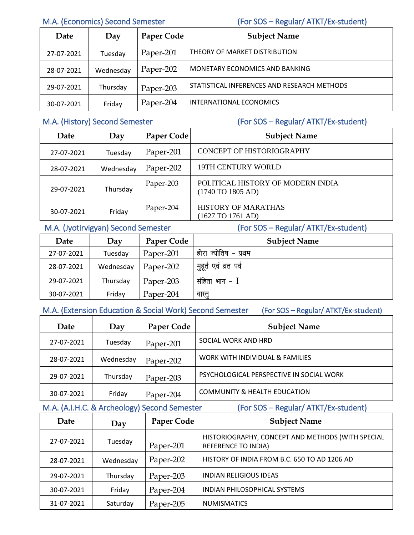M.A. (Economics) Second Semester (For SOS – Regular/ ATKT/Ex-student)

| Date       | Day       | Paper Code | <b>Subject Name</b>                         |
|------------|-----------|------------|---------------------------------------------|
| 27-07-2021 | Tuesday   | Paper-201  | THEORY OF MARKET DISTRIBUTION               |
| 28-07-2021 | Wednesday | Paper-202  | MONETARY ECONOMICS AND BANKING              |
| 29-07-2021 | Thursday  | Paper-203  | STATISTICAL INFERENCES AND RESEARCH METHODS |
| 30-07-2021 | Friday    | Paper-204  | INTERNATIONAL ECONOMICS                     |

M.A. (History) Second Semester (For SOS – Regular/ ATKT/Ex-student)

| Date       | Day       | Paper Code | <b>Subject Name</b>                                                           |
|------------|-----------|------------|-------------------------------------------------------------------------------|
| 27-07-2021 | Tuesday   | Paper-201  | CONCEPT OF HISTORIOGRAPHY                                                     |
| 28-07-2021 | Wednesday | Paper-202  | 19TH CENTURY WORLD                                                            |
| 29-07-2021 | Thursday  | Paper-203  | POLITICAL HISTORY OF MODERN INDIA<br>$(1740 \,\text{TO} \, 1805 \,\text{AD})$ |
| 30-07-2021 | Friday    | Paper-204  | <b>HISTORY OF MARATHAS</b><br>(1627 TO 1761 AD)                               |

# M.A. (Jyotirvigyan) Second Semester (For SOS – Regular/ ATKT/Ex-student)

| Date       | Day       | Paper Code | <b>Subject Name</b>   |
|------------|-----------|------------|-----------------------|
| 27-07-2021 | Tuesday   | Paper-201  | होरा ज्योतिष - प्रथम  |
| 28-07-2021 | Wednesday | Paper-202  | मुहूर्त एवं व्रत पर्व |
| 29-07-2021 | Thursday  | Paper-203  | संहिता भाग - $\rm I$  |
| 30-07-2021 | Friday    | Paper-204  | वास्तु                |

M.A. (Extension Education & Social Work) Second Semester (For SOS – Regular/ ATKT/Ex-**student)** 

| Date       | Day       | Paper Code | <b>Subject Name</b>                      |
|------------|-----------|------------|------------------------------------------|
| 27-07-2021 | Tuesday   | Paper-201  | SOCIAL WORK AND HRD                      |
| 28-07-2021 | Wednesday | Paper-202  | WORK WITH INDIVIDUAL & FAMILIES          |
| 29-07-2021 | Thursday  | Paper-203  | PSYCHOLOGICAL PERSPECTIVE IN SOCIAL WORK |
| 30-07-2021 | Friday    | Paper-204  | <b>COMMUNITY &amp; HEALTH EDUCATION</b>  |

# M.A. (A.I.H.C. & Archeology) Second Semester (For SOS – Regular/ ATKT/Ex-student)

| Date       | Day       | <b>Paper Code</b> | <b>Subject Name</b>                                                             |
|------------|-----------|-------------------|---------------------------------------------------------------------------------|
| 27-07-2021 | Tuesday   | Paper-201         | HISTORIOGRAPHY, CONCEPT AND METHODS (WITH SPECIAL<br><b>REFERENCE TO INDIA)</b> |
| 28-07-2021 | Wednesday | Paper-202         | HISTORY OF INDIA FROM B.C. 650 TO AD 1206 AD                                    |
| 29-07-2021 | Thursday  | Paper-203         | <b>INDIAN RELIGIOUS IDEAS</b>                                                   |
| 30-07-2021 | Friday    | Paper-204         | <b>INDIAN PHILOSOPHICAL SYSTEMS</b>                                             |
| 31-07-2021 | Saturday  | Paper-205         | <b>NUMISMATICS</b>                                                              |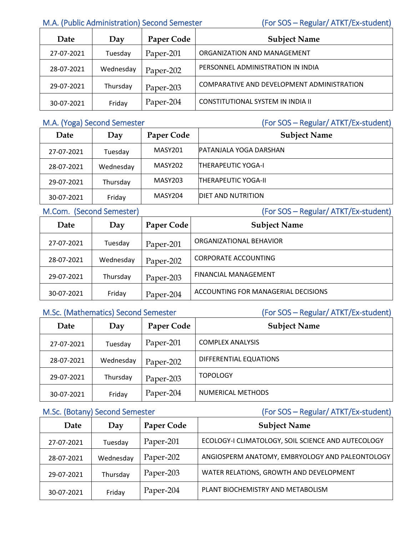# M.A. (Public Administration) Second Semester (For SOS – Regular/ ATKT/Ex-student)

| Date       | Day       | Paper Code | <b>Subject Name</b>                        |
|------------|-----------|------------|--------------------------------------------|
| 27-07-2021 | Tuesday   | Paper-201  | ORGANIZATION AND MANAGEMENT                |
| 28-07-2021 | Wednesday | Paper-202  | PERSONNEL ADMINISTRATION IN INDIA          |
| 29-07-2021 | Thursday  | Paper-203  | COMPARATIVE AND DEVELOPMENT ADMINISTRATION |
| 30-07-2021 | Friday    | Paper-204  | CONSTITUTIONAL SYSTEM IN INDIA II          |

M.A. (Yoga) Second Semester (For SOS – Regular/ ATKT/Ex-student)

| Date       | Day       | Paper Code     | <b>Subject Name</b>        |
|------------|-----------|----------------|----------------------------|
| 27-07-2021 | Tuesday   | <b>MASY201</b> | PATANJALA YOGA DARSHAN     |
| 28-07-2021 | Wednesday | MASY202        | <b>THERAPEUTIC YOGA-I</b>  |
| 29-07-2021 | Thursday  | MASY203        | <b>THERAPEUTIC YOGA-II</b> |
| 30-07-2021 | Friday    | MASY204        | <b>DIET AND NUTRITION</b>  |

M.Com. (Second Semester) (For SOS – Regular/ ATKT/Ex-student)

|  | $[For SOS = Roqular/ \Delta]$ |
|--|-------------------------------|

| Date       | Day       | Paper Code | <b>Subject Name</b>                 |
|------------|-----------|------------|-------------------------------------|
| 27-07-2021 | Tuesday   | Paper-201  | ORGANIZATIONAL BEHAVIOR             |
| 28-07-2021 | Wednesday | Paper-202  | <b>CORPORATE ACCOUNTING</b>         |
| 29-07-2021 | Thursday  | Paper-203  | <b>FINANCIAL MANAGEMENT</b>         |
| 30-07-2021 | Friday    | Paper-204  | ACCOUNTING FOR MANAGERIAL DECISIONS |

# M.Sc. (Mathematics) Second Semester (For SOS – Regular/ ATKT/Ex-student)

| Date       | Day       | Paper Code | <b>Subject Name</b>      |
|------------|-----------|------------|--------------------------|
| 27-07-2021 | Tuesday   | Paper-201  | <b>COMPLEX ANALYSIS</b>  |
| 28-07-2021 | Wednesday | Paper-202  | DIFFERENTIAL EQUATIONS   |
| 29-07-2021 | Thursday  | Paper-203  | <b>TOPOLOGY</b>          |
| 30-07-2021 | Friday    | Paper-204  | <b>NUMERICAL METHODS</b> |

M.Sc. (Botany) Second Semester (For SOS – Regular/ ATKT/Ex-student)

| Date       | Day       | <b>Paper Code</b> | <b>Subject Name</b>                                |
|------------|-----------|-------------------|----------------------------------------------------|
| 27-07-2021 | Tuesday   | Paper-201         | ECOLOGY-I CLIMATOLOGY, SOIL SCIENCE AND AUTECOLOGY |
| 28-07-2021 | Wednesday | Paper-202         | ANGIOSPERM ANATOMY, EMBRYOLOGY AND PALEONTOLOGY    |
| 29-07-2021 | Thursday  | Paper-203         | WATER RELATIONS, GROWTH AND DEVELOPMENT            |
| 30-07-2021 | Friday    | Paper-204         | PLANT BIOCHEMISTRY AND METABOLISM                  |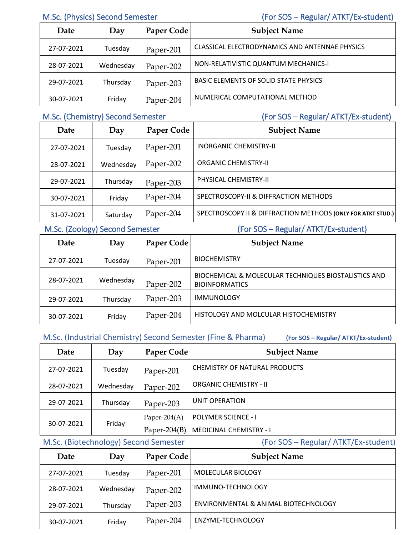# M.Sc. (Physics) Second Semester (For SOS – Regular/ ATKT/Ex-student)

| Date       | Day       | Paper Code | <b>Subject Name</b>                            |
|------------|-----------|------------|------------------------------------------------|
| 27-07-2021 | Tuesday   | Paper-201  | CLASSICAL ELECTRODYNAMICS AND ANTENNAE PHYSICS |
| 28-07-2021 | Wednesday | Paper-202  | NON-RELATIVISTIC QUANTUM MECHANICS-I           |
| 29-07-2021 | Thursday  | Paper-203  | <b>BASIC ELEMENTS OF SOLID STATE PHYSICS</b>   |
| 30-07-2021 | Friday    | Paper-204  | NUMERICAL COMPUTATIONAL METHOD                 |

M.Sc. (Chemistry) Second Semester (For SOS – Regular/ ATKT/Ex-student)

| Date       | Day       | Paper Code | <b>Subject Name</b>                                         |
|------------|-----------|------------|-------------------------------------------------------------|
| 27-07-2021 | Tuesday   | Paper-201  | <b>INORGANIC CHEMISTRY-II</b>                               |
| 28-07-2021 | Wednesday | Paper-202  | <b>ORGANIC CHEMISTRY-II</b>                                 |
| 29-07-2021 | Thursday  | Paper-203  | PHYSICAL CHEMISTRY-II                                       |
| 30-07-2021 | Friday    | Paper-204  | SPECTROSCOPY-II & DIFFRACTION METHODS                       |
| 31-07-2021 | Saturday  | Paper-204  | SPECTROSCOPY II & DIFFRACTION METHODS (ONLY FOR ATKT STUD.) |

M.Sc. (Zoology) Second Semester (For SOS – Regular/ ATKT/Ex-student)

| Date       | Day       | Paper Code | <b>Subject Name</b>                                                           |
|------------|-----------|------------|-------------------------------------------------------------------------------|
| 27-07-2021 | Tuesday   | Paper-201  | <b>BIOCHEMISTRY</b>                                                           |
| 28-07-2021 | Wednesday | Paper-202  | BIOCHEMICAL & MOLECULAR TECHNIQUES BIOSTALISTICS AND<br><b>BIOINFORMATICS</b> |
| 29-07-2021 | Thursday  | Paper-203  | <b>IMMUNOLOGY</b>                                                             |
| 30-07-2021 | Friday    | Paper-204  | HISTOLOGY AND MOLCULAR HISTOCHEMISTRY                                         |

# M.Sc. (Industrial Chemistry) Second Semester (Fine & Pharma) **(For SOS – Regular/ ATKT/Ex-student)**

| Date       | Day       | <b>Paper Code</b> | <b>Subject Name</b>            |
|------------|-----------|-------------------|--------------------------------|
| 27-07-2021 | Tuesday   | Paper-201         | CHEMISTRY OF NATURAL PRODUCTS  |
| 28-07-2021 | Wednesday | Paper-202         | <b>ORGANIC CHEMISTRY - II</b>  |
| 29-07-2021 | Thursday  | Paper-203         | UNIT OPERATION                 |
| 30-07-2021 | Friday    | Paper-204 $(A)$   | <b>POLYMER SCIENCE - I</b>     |
|            |           | Paper-204 $(B)$   | <b>MEDICINAL CHEMISTRY - I</b> |

M.Sc. (Biotechnology) Second Semester (For SOS – Regular/ ATKT/Ex-student)

| Date       | Day       | Paper Code | <b>Subject Name</b>                  |
|------------|-----------|------------|--------------------------------------|
| 27-07-2021 | Tuesday   | Paper-201  | MOLECULAR BIOLOGY                    |
| 28-07-2021 | Wednesday | Paper-202  | IMMUNO-TECHNOLOGY                    |
| 29-07-2021 | Thursday  | Paper-203  | ENVIRONMENTAL & ANIMAL BIOTECHNOLOGY |
| 30-07-2021 | Friday    | Paper-204  | ENZYME-TECHNOLOGY                    |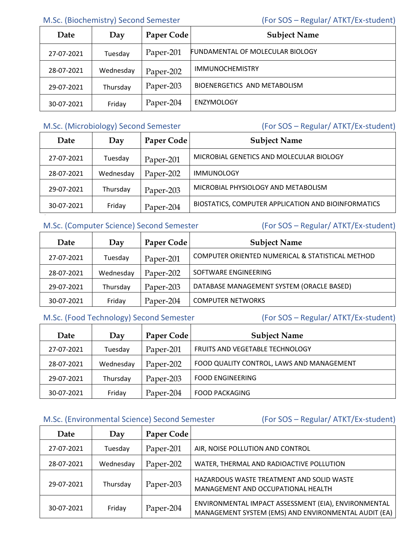# M.Sc. (Biochemistry) Second Semester (For SOS – Regular/ ATKT/Ex-student)

| Date       | Day       | Paper Code | <b>Subject Name</b>                     |
|------------|-----------|------------|-----------------------------------------|
| 27-07-2021 | Tuesday   | Paper-201  | <b>FUNDAMENTAL OF MOLECULAR BIOLOGY</b> |
| 28-07-2021 | Wednesday | Paper-202  | <b>IMMUNOCHEMISTRY</b>                  |
| 29-07-2021 | Thursday  | Paper-203  | BIOENERGETICS AND METABOLISM            |
| 30-07-2021 | Friday    | Paper-204  | <b>ENZYMOLOGY</b>                       |

# M.Sc. (Microbiology) Second Semester (For SOS – Regular/ ATKT/Ex-student)

| Date       | Day       | Paper Code | <b>Subject Name</b>                                 |
|------------|-----------|------------|-----------------------------------------------------|
| 27-07-2021 | Tuesday   | Paper-201  | MICROBIAL GENETICS AND MOLECULAR BIOLOGY            |
| 28-07-2021 | Wednesday | Paper-202  | <b>IMMUNOLOGY</b>                                   |
| 29-07-2021 | Thursday  | Paper-203  | MICROBIAL PHYSIOLOGY AND METABOLISM                 |
| 30-07-2021 | Friday    | Paper-204  | BIOSTATICS, COMPUTER APPLICATION AND BIOINFORMATICS |

# M.Sc. (Computer Science) Second Semester (For SOS – Regular/ ATKT/Ex-student)

| Date       | Day       | Paper Code | <b>Subject Name</b>                              |
|------------|-----------|------------|--------------------------------------------------|
| 27-07-2021 | Tuesday   | Paper-201  | COMPUTER ORIENTED NUMERICAL & STATISTICAL METHOD |
| 28-07-2021 | Wednesday | Paper-202  | SOFTWARE ENGINEERING                             |
| 29-07-2021 | Thursday  | Paper-203  | DATABASE MANAGEMENT SYSTEM (ORACLE BASED)        |
| 30-07-2021 | Friday    | Paper-204  | <b>COMPUTER NETWORKS</b>                         |

# M.Sc. (Food Technology) Second Semester (For SOS – Regular/ ATKT/Ex-student)

| Date       | Day       | Paper Code | <b>Subject Name</b>                       |
|------------|-----------|------------|-------------------------------------------|
| 27-07-2021 | Tuesday   | Paper-201  | <b>FRUITS AND VEGETABLE TECHNOLOGY</b>    |
| 28-07-2021 | Wednesday | Paper-202  | FOOD QUALITY CONTROL, LAWS AND MANAGEMENT |
| 29-07-2021 | Thursday  | Paper-203  | <b>FOOD ENGINEERING</b>                   |
| 30-07-2021 | Friday    | Paper-204  | <b>FOOD PACKAGING</b>                     |

# M.Sc. (Environmental Science) Second Semester (For SOS – Regular/ ATKT/Ex-student)

| Date       | Day       | Paper Code |                                                                                                              |
|------------|-----------|------------|--------------------------------------------------------------------------------------------------------------|
| 27-07-2021 | Tuesday   | Paper-201  | AIR, NOISE POLLUTION AND CONTROL                                                                             |
| 28-07-2021 | Wednesday | Paper-202  | WATER, THERMAL AND RADIOACTIVE POLLUTION                                                                     |
| 29-07-2021 | Thursday  | Paper-203  | HAZARDOUS WASTE TREATMENT AND SOLID WASTE<br>MANAGEMENT AND OCCUPATIONAL HEALTH                              |
| 30-07-2021 | Friday    | Paper-204  | ENVIRONMENTAL IMPACT ASSESSMENT (EIA), ENVIRONMENTAL<br>MANAGEMENT SYSTEM (EMS) AND ENVIRONMENTAL AUDIT (EA) |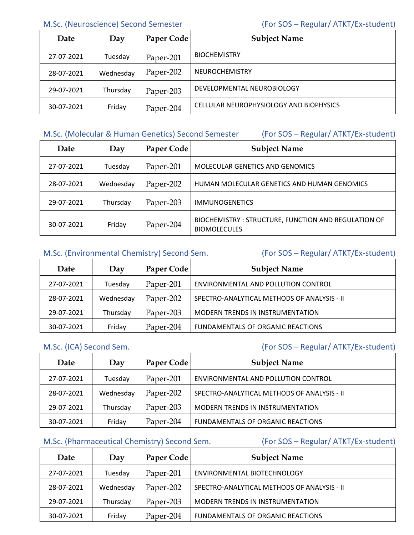M.Sc. (Neuroscience) Second Semester (For SOS – Regular/ ATKT/Ex-student)

| Date       | Day       | Paper Code | <b>Subject Name</b>                     |
|------------|-----------|------------|-----------------------------------------|
| 27-07-2021 | Tuesday   | Paper-201  | <b>BIOCHEMISTRY</b>                     |
| 28-07-2021 | Wednesday | Paper-202  | <b>NEUROCHEMISTRY</b>                   |
| 29-07-2021 | Thursday  | Paper-203  | DEVELOPMENTAL NEUROBIOLOGY              |
| 30-07-2021 | Friday    | Paper-204  | CELLULAR NEUROPHYSIOLOGY AND BIOPHYSICS |

## M.Sc. (Molecular & Human Genetics) Second Semester (For SOS – Regular/ ATKT/Ex-student)

| Date       | Day       | Paper Code | <b>Subject Name</b>                                                        |
|------------|-----------|------------|----------------------------------------------------------------------------|
| 27-07-2021 | Tuesday   | Paper-201  | MOLECULAR GENETICS AND GENOMICS                                            |
| 28-07-2021 | Wednesday | Paper-202  | HUMAN MOLECULAR GENETICS AND HUMAN GENOMICS                                |
| 29-07-2021 | Thursday  | Paper-203  | <b>IMMUNOGENETICS</b>                                                      |
| 30-07-2021 | Friday    | Paper-204  | BIOCHEMISTRY: STRUCTURE, FUNCTION AND REGULATION OF<br><b>BIOMOLECULES</b> |

# M.Sc. (Environmental Chemistry) Second Sem. (For SOS – Regular/ ATKT/Ex-student)

| Date       | Day       | Paper Code | <b>Subject Name</b>                         |
|------------|-----------|------------|---------------------------------------------|
| 27-07-2021 | Tuesday   | Paper-201  | ENVIRONMENTAL AND POLLUTION CONTROL         |
| 28-07-2021 | Wednesday | Paper-202  | SPECTRO-ANALYTICAL METHODS OF ANALYSIS - II |
| 29-07-2021 | Thursday  | Paper-203  | <b>MODERN TRENDS IN INSTRUMENTATION</b>     |
| 30-07-2021 | Friday    | Paper-204  | FUNDAMENTALS OF ORGANIC REACTIONS           |

# M.Sc. (ICA) Second Sem. (For SOS – Regular/ ATKT/Ex-student)

| Date       | Day       | Paper Code | <b>Subject Name</b>                         |
|------------|-----------|------------|---------------------------------------------|
| 27-07-2021 | Tuesday   | Paper-201  | ENVIRONMENTAL AND POLLUTION CONTROL         |
| 28-07-2021 | Wednesday | Paper-202  | SPECTRO-ANALYTICAL METHODS OF ANALYSIS - II |
| 29-07-2021 | Thursday  | Paper-203  | <b>MODERN TRENDS IN INSTRUMENTATION</b>     |
| 30-07-2021 | Friday    | Paper-204  | FUNDAMENTALS OF ORGANIC REACTIONS           |

## M.Sc. (Pharmaceutical Chemistry) Second Sem. (For SOS – Regular/ ATKT/Ex-student)

| Date       | Day       | Paper Code | <b>Subject Name</b>                         |
|------------|-----------|------------|---------------------------------------------|
| 27-07-2021 | Tuesday   | Paper-201  | ENVIRONMENTAL BIOTECHNOLOGY                 |
| 28-07-2021 | Wednesday | Paper-202  | SPECTRO-ANALYTICAL METHODS OF ANALYSIS - II |
| 29-07-2021 | Thursday  | Paper-203  | <b>MODERN TRENDS IN INSTRUMENTATION</b>     |
| 30-07-2021 | Friday    | Paper-204  | <b>FUNDAMENTALS OF ORGANIC REACTIONS</b>    |